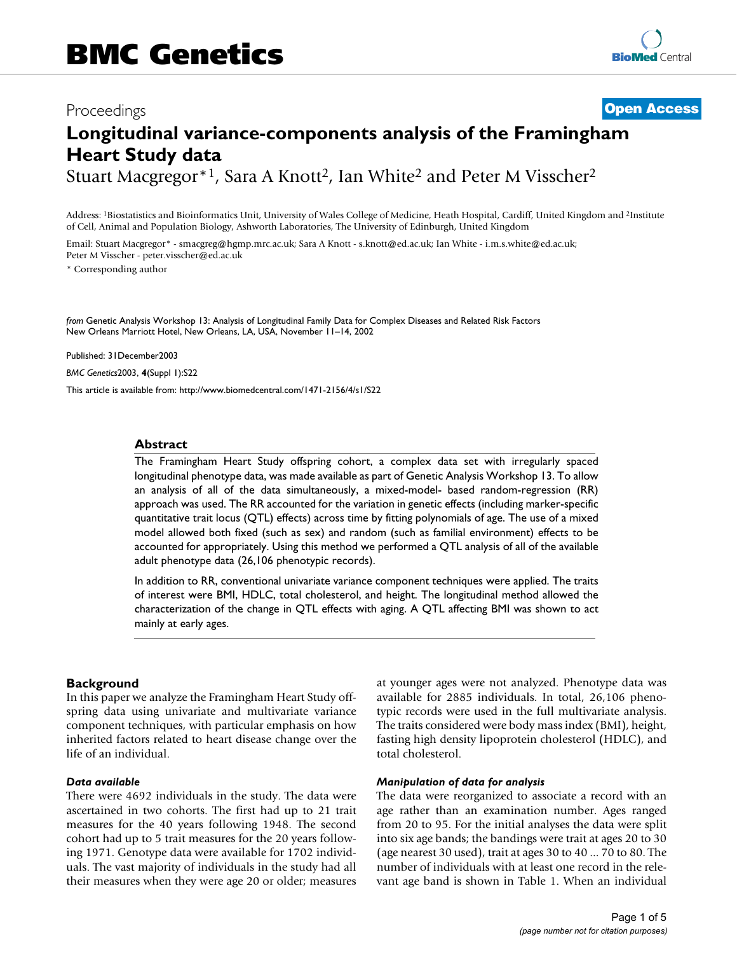## Proceedings **[Open Access](http://www.biomedcentral.com/info/about/charter/)**

# **Longitudinal variance-components analysis of the Framingham Heart Study data**

Stuart Macgregor<sup>\*1</sup>, Sara A Knott<sup>2</sup>, Ian White<sup>2</sup> and Peter M Visscher<sup>2</sup>

Address: 1Biostatistics and Bioinformatics Unit, University of Wales College of Medicine, Heath Hospital, Cardiff, United Kingdom and 2Institute of Cell, Animal and Population Biology, Ashworth Laboratories, The University of Edinburgh, United Kingdom

Email: Stuart Macgregor\* - smacgreg@hgmp.mrc.ac.uk; Sara A Knott - s.knott@ed.ac.uk; Ian White - i.m.s.white@ed.ac.uk; Peter M Visscher - peter.visscher@ed.ac.uk

\* Corresponding author

*from* Genetic Analysis Workshop 13: Analysis of Longitudinal Family Data for Complex Diseases and Related Risk Factors New Orleans Marriott Hotel, New Orleans, LA, USA, November 11–14, 2002

Published: 31December2003

*BMC Genetics*2003, **4**(Suppl 1):S22

[This article is available from: http://www.biomedcentral.com/1471-2156/4/s1/S22](http://www.biomedcentral.com/1471-2156/4/s1/S22)

#### **Abstract**

The Framingham Heart Study offspring cohort, a complex data set with irregularly spaced longitudinal phenotype data, was made available as part of Genetic Analysis Workshop 13. To allow an analysis of all of the data simultaneously, a mixed-model- based random-regression (RR) approach was used. The RR accounted for the variation in genetic effects (including marker-specific quantitative trait locus (QTL) effects) across time by fitting polynomials of age. The use of a mixed model allowed both fixed (such as sex) and random (such as familial environment) effects to be accounted for appropriately. Using this method we performed a QTL analysis of all of the available adult phenotype data (26,106 phenotypic records).

In addition to RR, conventional univariate variance component techniques were applied. The traits of interest were BMI, HDLC, total cholesterol, and height. The longitudinal method allowed the characterization of the change in QTL effects with aging. A QTL affecting BMI was shown to act mainly at early ages.

#### **Background**

In this paper we analyze the Framingham Heart Study offspring data using univariate and multivariate variance component techniques, with particular emphasis on how inherited factors related to heart disease change over the life of an individual.

#### *Data available*

There were 4692 individuals in the study. The data were ascertained in two cohorts. The first had up to 21 trait measures for the 40 years following 1948. The second cohort had up to 5 trait measures for the 20 years following 1971. Genotype data were available for 1702 individuals. The vast majority of individuals in the study had all their measures when they were age 20 or older; measures at younger ages were not analyzed. Phenotype data was available for 2885 individuals. In total, 26,106 phenotypic records were used in the full multivariate analysis. The traits considered were body mass index (BMI), height, fasting high density lipoprotein cholesterol (HDLC), and total cholesterol.

#### *Manipulation of data for analysis*

The data were reorganized to associate a record with an age rather than an examination number. Ages ranged from 20 to 95. For the initial analyses the data were split into six age bands; the bandings were trait at ages 20 to 30 (age nearest 30 used), trait at ages 30 to 40 ... 70 to 80. The number of individuals with at least one record in the relevant age band is shown in Table 1. When an individual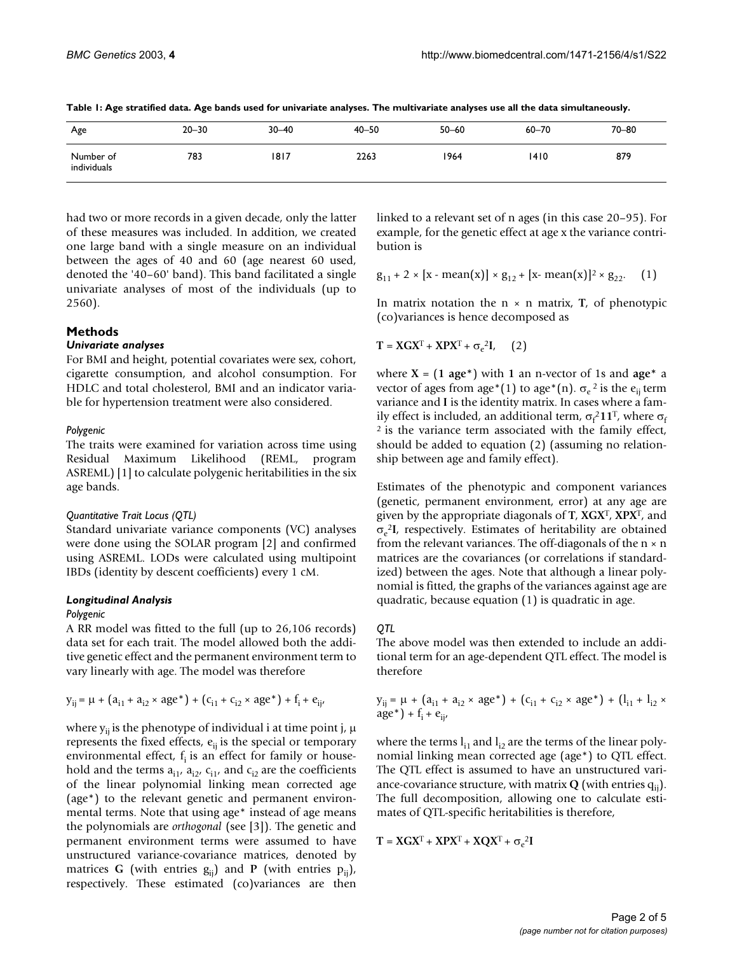| Age                      | $20 - 30$ | $30 - 40$ | $40 - 50$ | $50 - 60$ | $60 - 70$ | $70 - 80$ |
|--------------------------|-----------|-----------|-----------|-----------|-----------|-----------|
| Number of<br>individuals | 783       | 1817      | 2263      | 1964      | 1410      | 879       |

**Table 1: Age stratified data. Age bands used for univariate analyses. The multivariate analyses use all the data simultaneously.**

had two or more records in a given decade, only the latter of these measures was included. In addition, we created one large band with a single measure on an individual between the ages of 40 and 60 (age nearest 60 used, denoted the '40–60' band). This band facilitated a single univariate analyses of most of the individuals (up to 2560).

#### **Methods**

#### *Univariate analyses*

For BMI and height, potential covariates were sex, cohort, cigarette consumption, and alcohol consumption. For HDLC and total cholesterol, BMI and an indicator variable for hypertension treatment were also considered.

#### *Polygenic*

The traits were examined for variation across time using Residual Maximum Likelihood (REML, program ASREML) [1] to calculate polygenic heritabilities in the six age bands.

#### *Quantitative Trait Locus (QTL)*

Standard univariate variance components (VC) analyses were done using the SOLAR program [2] and confirmed using ASREML. LODs were calculated using multipoint IBDs (identity by descent coefficients) every 1 cM.

#### *Longitudinal Analysis*

#### *Polygenic*

A RR model was fitted to the full (up to 26,106 records) data set for each trait. The model allowed both the additive genetic effect and the permanent environment term to vary linearly with age. The model was therefore

$$
y_{ij} = \mu + (a_{i1} + a_{i2} \times age^*) + (c_{i1} + c_{i2} \times age^*) + f_i + e_{ij}
$$

where  $y_{ij}$  is the phenotype of individual i at time point j,  $\mu$ represents the fixed effects,  $e_{ii}$  is the special or temporary environmental effect,  $f_i$  is an effect for family or household and the terms  $a_{i1}$ ,  $a_{i2}$ ,  $c_{i1}$ , and  $c_{i2}$  are the coefficients of the linear polynomial linking mean corrected age (age\*) to the relevant genetic and permanent environmental terms. Note that using age\* instead of age means the polynomials are *orthogonal* (see [3]). The genetic and permanent environment terms were assumed to have unstructured variance-covariance matrices, denoted by matrices **G** (with entries  $g_{ii}$ ) and **P** (with entries  $p_{ii}$ ), respectively. These estimated (co)variances are then

linked to a relevant set of n ages (in this case 20–95). For example, for the genetic effect at age x the variance contribution is

$$
g_{11} + 2 \times [x - mean(x)] \times g_{12} + [x - mean(x)]^2 \times g_{22}
$$
. (1)

In matrix notation the  $n \times n$  matrix,  $T$ , of phenotypic (co)variances is hence decomposed as

$$
T = XGXT + XPXT + \sigma_e^2I, \quad (2)
$$

where **X** = (**1 age\***) with **1** an n-vector of 1s and **age\*** a vector of ages from age\*(1) to age\*(n).  $\sigma_e^2$  is the  $e_{ii}$  term variance and **I** is the identity matrix. In cases where a family effect is included, an additional term,  $\sigma_f^2 11^T$ , where  $\sigma_f$ 2 is the variance term associated with the family effect, should be added to equation (2) (assuming no relationship between age and family effect).

Estimates of the phenotypic and component variances (genetic, permanent environment, error) at any age are given by the appropriate diagonals of **T**, **XGX**T, **XPX**T, and σe <sup>2</sup>**I**, respectively. Estimates of heritability are obtained from the relevant variances. The off-diagonals of the  $n \times n$ matrices are the covariances (or correlations if standardized) between the ages. Note that although a linear polynomial is fitted, the graphs of the variances against age are quadratic, because equation (1) is quadratic in age.

#### *QTL*

The above model was then extended to include an additional term for an age-dependent QTL effect. The model is therefore

$$
y_{ij} = \mu + (a_{i1} + a_{i2} \times age^*) + (c_{i1} + c_{i2} \times age^*) + (l_{i1} + l_{i2} \times age^*) + f_i + e_{ij'}
$$

where the terms  $l_{i1}$  and  $l_{i2}$  are the terms of the linear polynomial linking mean corrected age (age\*) to QTL effect. The QTL effect is assumed to have an unstructured variance-covariance structure, with matrix  $Q$  (with entries  $q_{ii}$ ). The full decomposition, allowing one to calculate estimates of QTL-specific heritabilities is therefore,

$$
\mathbf{T} = \mathbf{X}\mathbf{G}\mathbf{X}^T + \mathbf{X}\mathbf{P}\mathbf{X}^T + \mathbf{X}\mathbf{Q}\mathbf{X}^T + \sigma_e{}^2\mathbf{I}
$$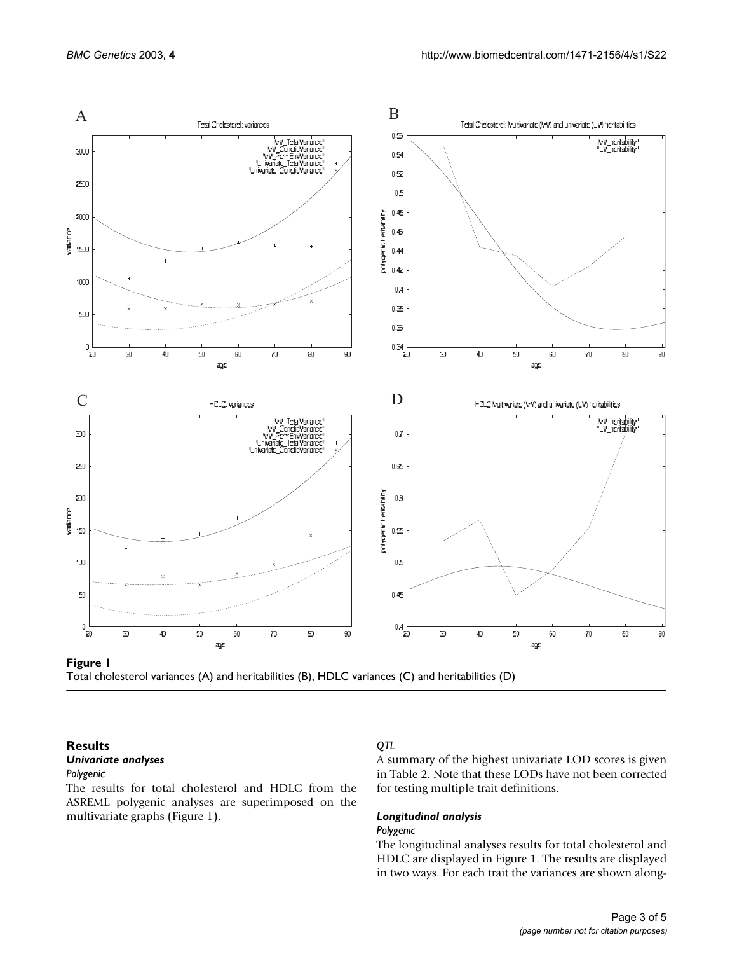

Total cholesterol variances (A) and heritabilities (B), HDLC variances (C) and heritabilities (D)

#### **Results** *Univariate analyses*

#### *Polygenic*

The results for total cholesterol and HDLC from the ASREML polygenic analyses are superimposed on the multivariate graphs (Figure 1).

### *QTL*

A summary of the highest univariate LOD scores is given in Table 2. Note that these LODs have not been corrected for testing multiple trait definitions.

#### *Longitudinal analysis*

#### *Polygenic*

The longitudinal analyses results for total cholesterol and HDLC are displayed in Figure 1. The results are displayed in two ways. For each trait the variances are shown along-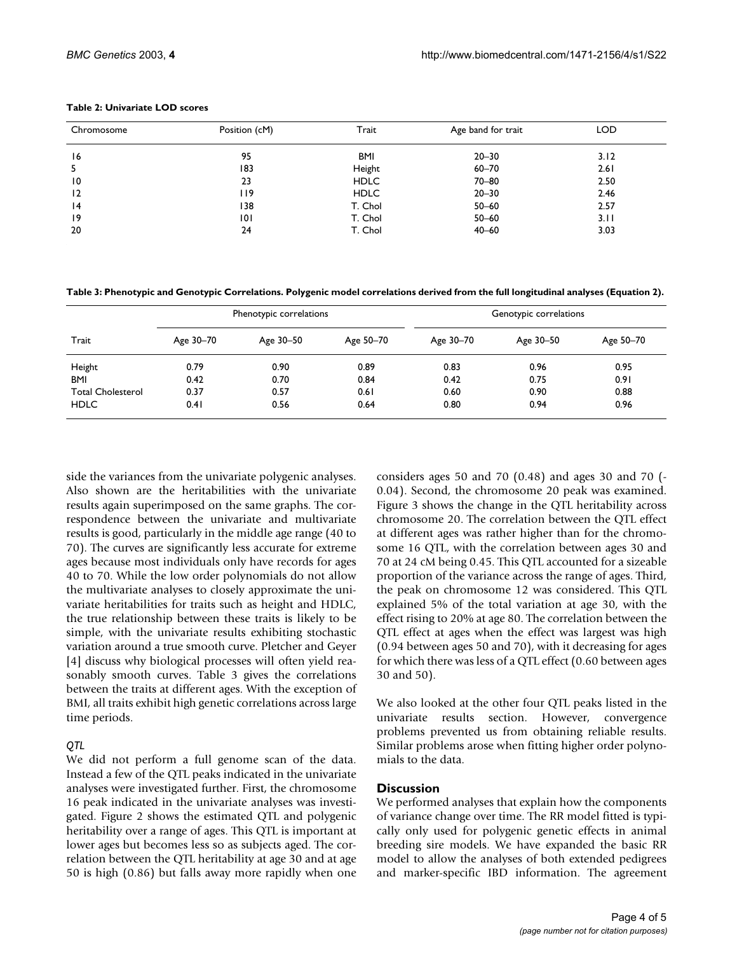| Table 2: Univariate LOD scores |
|--------------------------------|
|--------------------------------|

| Chromosome      | Position (cM) | Trait       | Age band for trait | <b>LOD</b> |
|-----------------|---------------|-------------|--------------------|------------|
| 16              | 95            | BMI         | $20 - 30$          | 3.12       |
| 5               | 183           | Height      | $60 - 70$          | 2.61       |
| $\overline{10}$ | 23            | <b>HDLC</b> | $70 - 80$          | 2.50       |
| 12              | 119           | <b>HDLC</b> | $20 - 30$          | 2.46       |
| 14              | 138           | T. Chol     | $50 - 60$          | 2.57       |
| 19              | 0             | T. Chol     | $50 - 60$          | 3.11       |
| 20              | 24            | T. Chol     | $40 - 60$          | 3.03       |

**Table 3: Phenotypic and Genotypic Correlations. Polygenic model correlations derived from the full longitudinal analyses (Equation 2).**

| Trait                    | Phenotypic correlations |           |           | Genotypic correlations |           |           |
|--------------------------|-------------------------|-----------|-----------|------------------------|-----------|-----------|
|                          | Age 30-70               | Age 30-50 | Age 50-70 | Age 30-70              | Age 30-50 | Age 50-70 |
| Height                   | 0.79                    | 0.90      | 0.89      | 0.83                   | 0.96      | 0.95      |
| <b>BMI</b>               | 0.42                    | 0.70      | 0.84      | 0.42                   | 0.75      | 0.91      |
| <b>Total Cholesterol</b> | 0.37                    | 0.57      | 0.61      | 0.60                   | 0.90      | 0.88      |
| <b>HDLC</b>              | 0.41                    | 0.56      | 0.64      | 0.80                   | 0.94      | 0.96      |

side the variances from the univariate polygenic analyses. Also shown are the heritabilities with the univariate results again superimposed on the same graphs. The correspondence between the univariate and multivariate results is good, particularly in the middle age range (40 to 70). The curves are significantly less accurate for extreme ages because most individuals only have records for ages 40 to 70. While the low order polynomials do not allow the multivariate analyses to closely approximate the univariate heritabilities for traits such as height and HDLC, the true relationship between these traits is likely to be simple, with the univariate results exhibiting stochastic variation around a true smooth curve. Pletcher and Geyer [4] discuss why biological processes will often yield reasonably smooth curves. Table 3 gives the correlations between the traits at different ages. With the exception of BMI, all traits exhibit high genetic correlations across large time periods.

#### *QTL*

We did not perform a full genome scan of the data. Instead a few of the QTL peaks indicated in the univariate analyses were investigated further. First, the chromosome 16 peak indicated in the univariate analyses was investigated. Figure [2](#page-4-0) shows the estimated QTL and polygenic heritability over a range of ages. This QTL is important at lower ages but becomes less so as subjects aged. The correlation between the QTL heritability at age 30 and at age 50 is high (0.86) but falls away more rapidly when one considers ages 50 and 70 (0.48) and ages 30 and 70 (- 0.04). Second, the chromosome 20 peak was examined. Figure 3 shows the change in the QTL heritability across chromosome 20. The correlation between the QTL effect at different ages was rather higher than for the chromosome 16 QTL, with the correlation between ages 30 and 70 at 24 cM being 0.45. This QTL accounted for a sizeable proportion of the variance across the range of ages. Third, the peak on chromosome 12 was considered. This QTL explained 5% of the total variation at age 30, with the effect rising to 20% at age 80. The correlation between the QTL effect at ages when the effect was largest was high (0.94 between ages 50 and 70), with it decreasing for ages for which there was less of a QTL effect (0.60 between ages 30 and 50).

We also looked at the other four QTL peaks listed in the univariate results section. However, convergence problems prevented us from obtaining reliable results. Similar problems arose when fitting higher order polynomials to the data.

#### **Discussion**

We performed analyses that explain how the components of variance change over time. The RR model fitted is typically only used for polygenic genetic effects in animal breeding sire models. We have expanded the basic RR model to allow the analyses of both extended pedigrees and marker-specific IBD information. The agreement